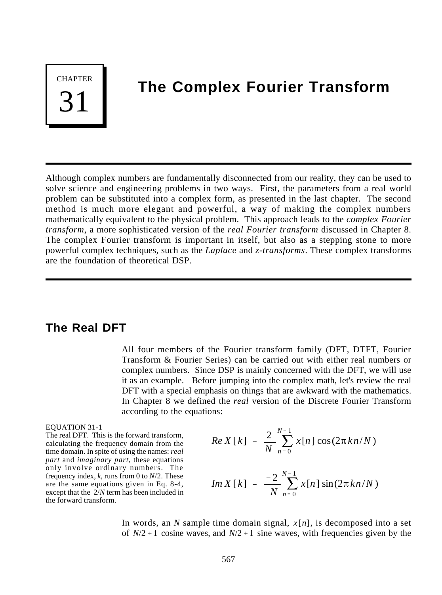**CHAPTER** 31

# **The Complex Fourier Transform**

Although complex numbers are fundamentally disconnected from our reality, they can be used to solve science and engineering problems in two ways. First, the parameters from a real world problem can be substituted into a complex form, as presented in the last chapter. The second method is much more elegant and powerful, a way of making the complex numbers mathematically equivalent to the physical problem. This approach leads to the *complex Fourier transform*, a more sophisticated version of the *real Fourier transform* discussed in Chapter 8. The complex Fourier transform is important in itself, but also as a stepping stone to more powerful complex techniques, such as the *Laplace* and *z-transforms*. These complex transforms are the foundation of theoretical DSP.

### **The Real DFT**

All four members of the Fourier transform family (DFT, DTFT, Fourier Transform & Fourier Series) can be carried out with either real numbers or complex numbers. Since DSP is mainly concerned with the DFT, we will use it as an example. Before jumping into the complex math, let's review the real DFT with a special emphasis on things that are awkward with the mathematics. In Chapter 8 we defined the *real* version of the Discrete Fourier Transform according to the equations:

### EQUATION 31-1

The real DFT. This is the forward transform, calculating the frequency domain from the time domain. In spite of using the names: *real part* and *imaginary part*, these equations only involve ordinary numbers. The frequency index, *k*, runs from 0 to *N*/2. These are the same equations given in Eq. 8-4, except that the 2/*N* term has been included in the forward transform.

$$
Re X[k] = \frac{2}{N} \sum_{n=0}^{N-1} x[n] \cos(2\pi k n/N)
$$

$$
Im X[k] = \frac{-2}{N} \sum_{n=0}^{N-1} x[n] \sin(2\pi k n/N)
$$

In words, an *N* sample time domain signal, *x* [*n*], is decomposed into a set of  $N/2 + 1$  cosine waves, and  $N/2 + 1$  sine waves, with frequencies given by the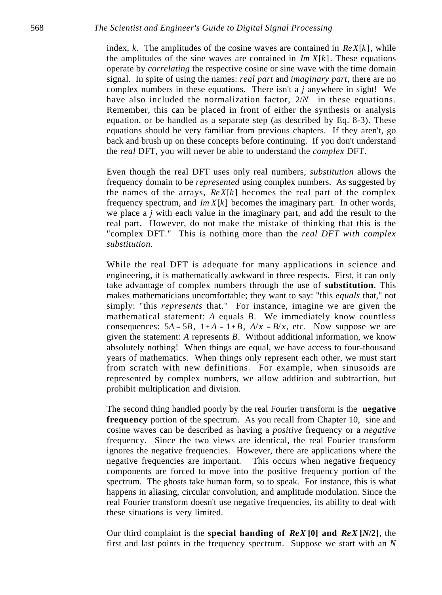index, *k*. The amplitudes of the cosine waves are contained in *ReX*[*k* ], while the amplitudes of the sine waves are contained in  $Im X[k]$ . These equations operate by *correlating* the respective cosine or sine wave with the time domain signal. In spite of using the names: *real part* and *imaginary part*, there are no complex numbers in these equations. There isn't a *j* anywhere in sight! We have also included the normalization factor, 2/*N* in these equations. Remember, this can be placed in front of either the synthesis or analysis equation, or be handled as a separate step (as described by Eq. 8-3). These equations should be very familiar from previous chapters. If they aren't, go back and brush up on these concepts before continuing. If you don't understand the *real* DFT, you will never be able to understand the *complex* DFT.

Even though the real DFT uses only real numbers, *substitution* allows the frequency domain to be *represented* using complex numbers. As suggested by the names of the arrays,  $Re X[k]$  becomes the real part of the complex frequency spectrum, and *Im X*[*k*] becomes the imaginary part. In other words, we place a *j* with each value in the imaginary part, and add the result to the real part. However, do not make the mistake of thinking that this is the "complex DFT." This is nothing more than the *real DFT with complex substitution*.

While the real DFT is adequate for many applications in science and engineering, it is mathematically awkward in three respects. First, it can only take advantage of complex numbers through the use of **substitution**. This makes mathematicians uncomfortable; they want to say: "this *equals* that," not simply: "this *represents* that." For instance, imagine we are given the mathematical statement: *A* equals *B*. We immediately know countless consequences:  $5A = 5B$ ,  $1 + A = 1 + B$ ,  $A/x = B/x$ , etc. Now suppose we are given the statement: *A* represents *B*. Without additional information, we know absolutely nothing! When things are equal, we have access to four-thousand years of mathematics. When things only represent each other, we must start from scratch with new definitions. For example, when sinusoids are represented by complex numbers, we allow addition and subtraction, but prohibit multiplication and division.

The second thing handled poorly by the real Fourier transform is the **negative frequency** portion of the spectrum. As you recall from Chapter 10, sine and cosine waves can be described as having a *positive* frequency or a *negative* frequency. Since the two views are identical, the real Fourier transform ignores the negative frequencies. However, there are applications where the negative frequencies are important. This occurs when negative frequency components are forced to move into the positive frequency portion of the spectrum. The ghosts take human form, so to speak. For instance, this is what happens in aliasing, circular convolution, and amplitude modulation. Since the real Fourier transform doesn't use negative frequencies, its ability to deal with these situations is very limited.

Our third complaint is the **special handing of** *ReX* **[0] and** *ReX* **[***N***/2]**, the first and last points in the frequency spectrum. Suppose we start with an *N*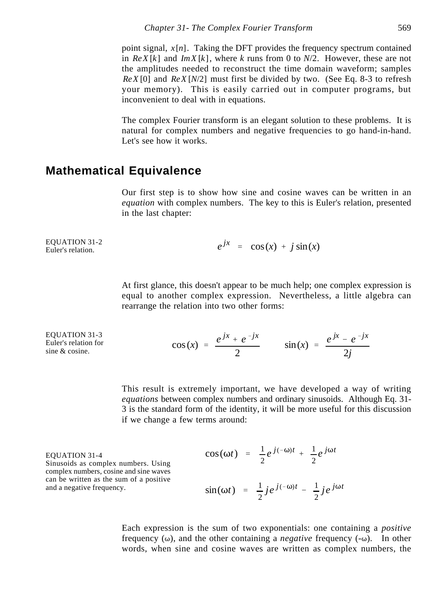point signal,  $x[n]$ . Taking the DFT provides the frequency spectrum contained in  $Re X[k]$  and  $Im X[k]$ , where *k* runs from 0 to  $N/2$ . However, these are not the amplitudes needed to reconstruct the time domain waveform; samples *ReX* [0] and *ReX* [*N*/2] must first be divided by two. (See Eq. 8-3 to refresh your memory). This is easily carried out in computer programs, but inconvenient to deal with in equations.

The complex Fourier transform is an elegant solution to these problems. It is natural for complex numbers and negative frequencies to go hand-in-hand. Let's see how it works.

# **Mathematical Equivalence**

Our first step is to show how sine and cosine waves can be written in an *equation* with complex numbers. The key to this is Euler's relation, presented in the last chapter:

EQUATION 31-2 Euler's relation.

$$
e^{jx} = \cos(x) + j\sin(x)
$$

At first glance, this doesn't appear to be much help; one complex expression is equal to another complex expression. Nevertheless, a little algebra can rearrange the relation into two other forms:

EQUATION 31-3 Euler's relation for sine & cosine.

$$
cos(x) = \frac{e^{jx} + e^{-jx}}{2}
$$
  $sin(x) = \frac{e^{jx} - e^{-jx}}{2j}$ 

This result is extremely important, we have developed a way of writing *equations* between complex numbers and ordinary sinusoids. Although Eq. 31- 3 is the standard form of the identity, it will be more useful for this discussion if we change a few terms around:

EQUATION 31-4 Sinusoids as complex numbers. Using complex numbers, cosine and sine waves can be written as the sum of a positive and a negative frequency.

$$
\cos(\omega t) = \frac{1}{2}e^{j(-\omega)t} + \frac{1}{2}e^{j\omega t}
$$

$$
\sin(\omega t) = \frac{1}{2} j e^{j(-\omega)t} - \frac{1}{2} j e^{j\omega t}
$$

Each expression is the sum of two exponentials: one containing a *positive* frequency  $(\omega)$ , and the other containing a *negative* frequency  $(-\omega)$ . In other words, when sine and cosine waves are written as complex numbers, the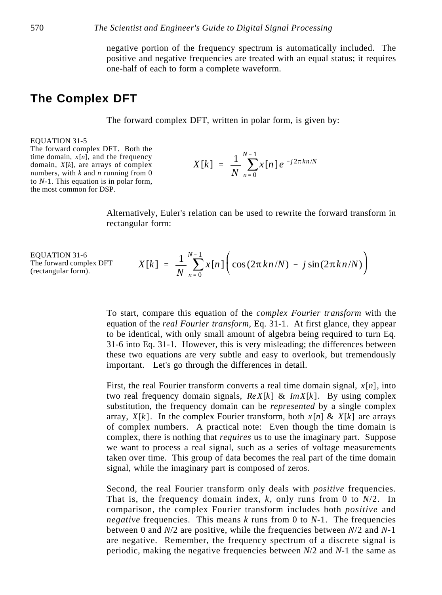negative portion of the frequency spectrum is automatically included. The positive and negative frequencies are treated with an equal status; it requires one-half of each to form a complete waveform.

# **The Complex DFT**

The forward complex DFT, written in polar form, is given by:

#### EQUATION 31-5

The forward complex DFT. Both the time domain,  $x[n]$ , and the frequency domain, *X*[*k*], are arrays of complex numbers, with *k* and *n* running from 0 to *N*-1. This equation is in polar form, the most common for DSP.

$$
X[k] = \frac{1}{N} \sum_{n=0}^{N-1} x[n] e^{-j2\pi kn/N}
$$

Alternatively, Euler's relation can be used to rewrite the forward transform in rectangular form:

EQUATION 31-6 The forward complex DFT (rectangular form).

$$
X[k] = \frac{1}{N} \sum_{n=0}^{N-1} x[n] \bigg( \cos(2\pi k n/N) - j \sin(2\pi k n/N) \bigg)
$$

To start, compare this equation of the *complex Fourier transform* with the equation of the *real Fourier transform*, Eq. 31-1. At first glance, they appear to be identical, with only small amount of algebra being required to turn Eq. 31-6 into Eq. 31-1. However, this is very misleading; the differences between these two equations are very subtle and easy to overlook, but tremendously important. Let's go through the differences in detail.

First, the real Fourier transform converts a real time domain signal, *x* [*n*], into two real frequency domain signals,  $Re X[k] \& Im X[k]$ . By using complex substitution, the frequency domain can be *represented* by a single complex array,  $X[k]$ . In the complex Fourier transform, both  $x[n] \& X[k]$  are arrays of complex numbers. A practical note: Even though the time domain is complex, there is nothing that *requires* us to use the imaginary part. Suppose we want to process a real signal, such as a series of voltage measurements taken over time. This group of data becomes the real part of the time domain signal, while the imaginary part is composed of zeros.

Second, the real Fourier transform only deals with *positive* frequencies. That is, the frequency domain index, *k*, only runs from 0 to *N*/2. In comparison, the complex Fourier transform includes both *positive* and *negative* frequencies. This means *k* runs from 0 to *N*-1. The frequencies between 0 and *N*/2 are positive, while the frequencies between *N*/2 and *N*-1 are negative. Remember, the frequency spectrum of a discrete signal is periodic, making the negative frequencies between *N*/2 and *N*-1 the same as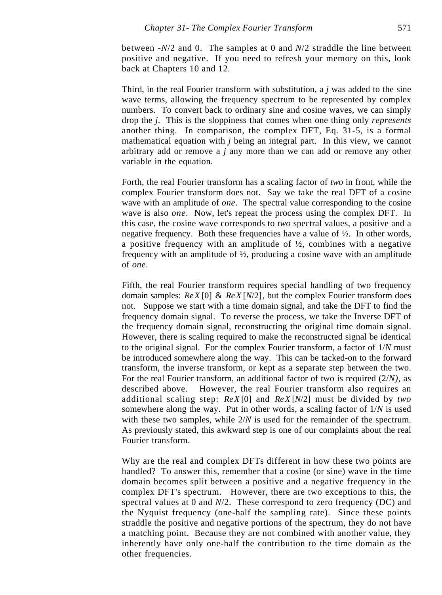between -*N*/2 and 0. The samples at 0 and *N*/2 straddle the line between positive and negative. If you need to refresh your memory on this, look back at Chapters 10 and 12.

Third, in the real Fourier transform with substitution, a *j* was added to the sine wave terms, allowing the frequency spectrum to be represented by complex numbers. To convert back to ordinary sine and cosine waves, we can simply drop the *j*. This is the sloppiness that comes when one thing only *represents* another thing. In comparison, the complex DFT, Eq. 31-5, is a formal mathematical equation with *j* being an integral part. In this view, we cannot arbitrary add or remove a *j* any more than we can add or remove any other variable in the equation.

Forth, the real Fourier transform has a scaling factor of *two* in front, while the complex Fourier transform does not. Say we take the real DFT of a cosine wave with an amplitude of *one*. The spectral value corresponding to the cosine wave is also *one*. Now, let's repeat the process using the complex DFT. In this case, the cosine wave corresponds to *two* spectral values, a positive and a negative frequency. Both these frequencies have a value of ½. In other words, a positive frequency with an amplitude of  $\frac{1}{2}$ , combines with a negative frequency with an amplitude of ½, producing a cosine wave with an amplitude of *one*.

Fifth, the real Fourier transform requires special handling of two frequency domain samples: *ReX* [0] & *ReX* [*N*/2], but the complex Fourier transform does not. Suppose we start with a time domain signal, and take the DFT to find the frequency domain signal. To reverse the process, we take the Inverse DFT of the frequency domain signal, reconstructing the original time domain signal. However, there is scaling required to make the reconstructed signal be identical to the original signal. For the complex Fourier transform, a factor of 1/*N* must be introduced somewhere along the way. This can be tacked-on to the forward transform, the inverse transform, or kept as a separate step between the two. For the real Fourier transform, an additional factor of two is required (2/*N)*, as described above. However, the real Fourier transform also requires an additional scaling step: *ReX* [0] and *ReX* [*N*/2] must be divided by *two* somewhere along the way. Put in other words, a scaling factor of 1/*N* is used with these two samples, while  $2/N$  is used for the remainder of the spectrum. As previously stated, this awkward step is one of our complaints about the real Fourier transform.

Why are the real and complex DFTs different in how these two points are handled? To answer this, remember that a cosine (or sine) wave in the time domain becomes split between a positive and a negative frequency in the complex DFT's spectrum. However, there are two exceptions to this, the spectral values at 0 and *N*/2. These correspond to zero frequency (DC) and the Nyquist frequency (one-half the sampling rate). Since these points straddle the positive and negative portions of the spectrum, they do not have a matching point. Because they are not combined with another value, they inherently have only one-half the contribution to the time domain as the other frequencies.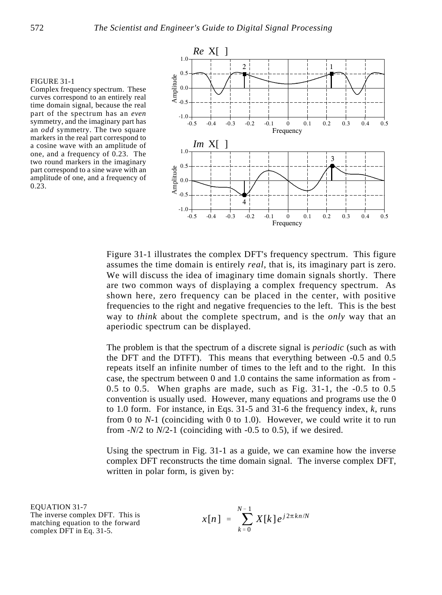#### FIGURE 31-1

Complex frequency spectrum. These curves correspond to an entirely real time domain signal, because the real part of the spectrum has an *even* symmetry, and the imaginary part has an *odd* symmetry. The two square markers in the real part correspond to a cosine wave with an amplitude of one, and a frequency of 0.23. The two round markers in the imaginary part correspond to a sine wave with an amplitude of one, and a frequency of 0.23.



Figure 31-1 illustrates the complex DFT's frequency spectrum. This figure assumes the time domain is entirely *real*, that is, its imaginary part is zero. We will discuss the idea of imaginary time domain signals shortly. There are two common ways of displaying a complex frequency spectrum. As shown here, zero frequency can be placed in the center, with positive frequencies to the right and negative frequencies to the left. This is the best way to *think* about the complete spectrum, and is the *only* way that an aperiodic spectrum can be displayed.

The problem is that the spectrum of a discrete signal is *periodic* (such as with the DFT and the DTFT). This means that everything between -0.5 and 0.5 repeats itself an infinite number of times to the left and to the right. In this case, the spectrum between 0 and 1.0 contains the same information as from - 0.5 to 0.5. When graphs are made, such as Fig. 31-1, the -0.5 to 0.5 convention is usually used. However, many equations and programs use the 0 to 1.0 form. For instance, in Eqs. 31-5 and 31-6 the frequency index, *k*, runs from 0 to *N*-1 (coinciding with 0 to 1.0). However, we could write it to run from -*N*/2 to *N*/2-1 (coinciding with -0.5 to 0.5), if we desired.

Using the spectrum in Fig. 31-1 as a guide, we can examine how the inverse complex DFT reconstructs the time domain signal. The inverse complex DFT, written in polar form, is given by:

EQUATION 31-7 The inverse complex DFT. This is matching equation to the forward complex DFT in Eq. 31-5.

$$
x[n] = \sum_{k=0}^{N-1} X[k] e^{j2\pi kn/N}
$$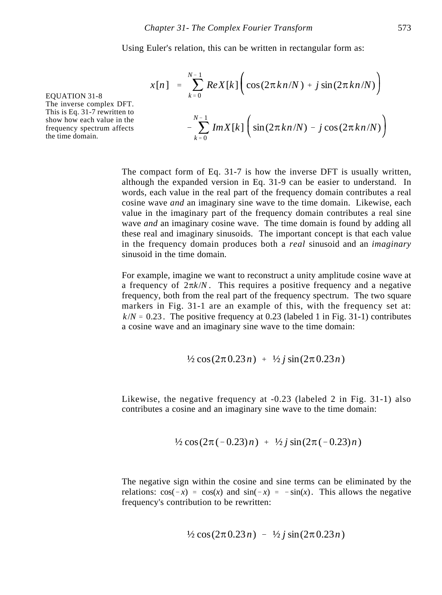Using Euler's relation, this can be written in rectangular form as:

$$
x[n] = \sum_{k=0}^{N-1} Re X[k] \bigg( cos(2\pi k n/N) + j sin(2\pi k n/N) \bigg)
$$

$$
- \sum_{k=0}^{N-1} Im X[k] \bigg( sin(2\pi k n/N) - j cos(2\pi k n/N) \bigg)
$$

EQUATION 31-8 The inverse complex DFT. This is Eq. 31-7 rewritten to show how each value in the frequency spectrum affects the time domain.

> The compact form of Eq. 31-7 is how the inverse DFT is usually written, although the expanded version in Eq. 31-9 can be easier to understand. In words, each value in the real part of the frequency domain contributes a real cosine wave *and* an imaginary sine wave to the time domain. Likewise, each value in the imaginary part of the frequency domain contributes a real sine wave *and* an imaginary cosine wave. The time domain is found by adding all these real and imaginary sinusoids. The important concept is that each value in the frequency domain produces both a *real* sinusoid and an *imaginary* sinusoid in the time domain.

> For example, imagine we want to reconstruct a unity amplitude cosine wave at a frequency of  $2\pi k/N$ . This requires a positive frequency and a negative frequency, both from the real part of the frequency spectrum. The two square markers in Fig. 31-1 are an example of this, with the frequency set at:  $k/N = 0.23$ . The positive frequency at 0.23 (labeled 1 in Fig. 31-1) contributes a cosine wave and an imaginary sine wave to the time domain:

$$
\frac{1}{2}\cos(2\pi 0.23n) + \frac{1}{2}j\sin(2\pi 0.23n)
$$

Likewise, the negative frequency at -0.23 (labeled 2 in Fig. 31-1) also contributes a cosine and an imaginary sine wave to the time domain:

$$
\frac{1}{2}\cos(2\pi(-0.23)n) + \frac{1}{2}j\sin(2\pi(-0.23)n)
$$

The negative sign within the cosine and sine terms can be eliminated by the relations:  $cos(-x) = cos(x)$  and  $sin(-x) = -sin(x)$ . This allows the negative frequency's contribution to be rewritten:

$$
\frac{1}{2}\cos(2\pi 0.23n) - \frac{1}{2}j\sin(2\pi 0.23n)
$$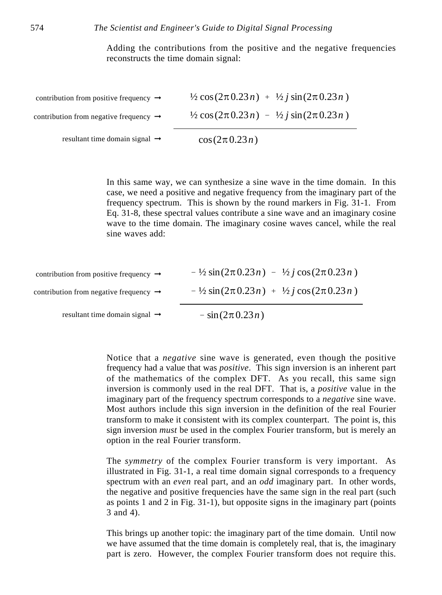Adding the contributions from the positive and the negative frequencies reconstructs the time domain signal:

| resultant time domain signal $\rightarrow$         | $\cos(2\pi 0.23 n)$                                                         |
|----------------------------------------------------|-----------------------------------------------------------------------------|
| contribution from negative frequency $\rightarrow$ | $\frac{1}{2} \cos(2\pi \cdot 0.23n) - \frac{1}{2} i \sin(2\pi \cdot 0.23n)$ |
| contribution from positive frequency $\rightarrow$ | $\frac{1}{2} \cos(2\pi \cdot 0.23n) + \frac{1}{2} i \sin(2\pi \cdot 0.23n)$ |

In this same way, we can synthesize a sine wave in the time domain. In this case, we need a positive and negative frequency from the imaginary part of the frequency spectrum. This is shown by the round markers in Fig. 31-1. From Eq. 31-8, these spectral values contribute a sine wave and an imaginary cosine wave to the time domain. The imaginary cosine waves cancel, while the real sine waves add:

| resultant time domain signal $\rightarrow$         | $-\sin(2\pi 0.23n)$                                     |
|----------------------------------------------------|---------------------------------------------------------|
| contribution from negative frequency $\rightarrow$ | $-$ 1/2 sin(2 $\pi$ 0.23n) + 1/2 j cos(2 $\pi$ 0.23n)   |
| contribution from positive frequency $\rightarrow$ | $-$ 1/2 sin(2 $\pi$ 0.23n) $-$ 1/2 j cos(2 $\pi$ 0.23n) |

Notice that a *negative* sine wave is generated, even though the positive frequency had a value that was *positive*. This sign inversion is an inherent part of the mathematics of the complex DFT. As you recall, this same sign inversion is commonly used in the real DFT. That is, a *positive* value in the imaginary part of the frequency spectrum corresponds to a *negative* sine wave. Most authors include this sign inversion in the definition of the real Fourier transform to make it consistent with its complex counterpart. The point is, this sign inversion *must* be used in the complex Fourier transform, but is merely an option in the real Fourier transform.

The *symmetry* of the complex Fourier transform is very important. As illustrated in Fig. 31-1, a real time domain signal corresponds to a frequency spectrum with an *even* real part, and an *odd* imaginary part. In other words, the negative and positive frequencies have the same sign in the real part (such as points 1 and 2 in Fig. 31-1), but opposite signs in the imaginary part (points 3 and 4).

This brings up another topic: the imaginary part of the time domain. Until now we have assumed that the time domain is completely real, that is, the imaginary part is zero. However, the complex Fourier transform does not require this.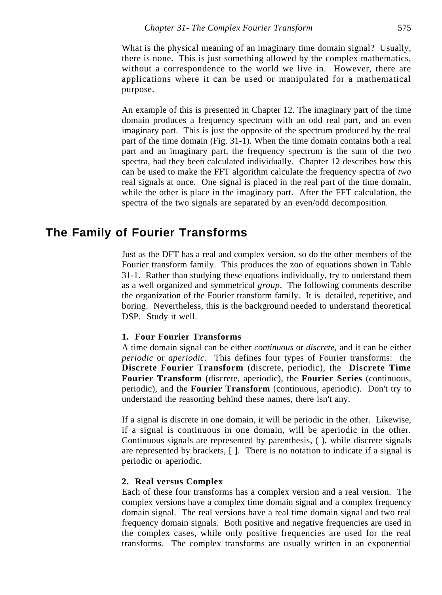An example of this is presented in Chapter 12. The imaginary part of the time domain produces a frequency spectrum with an odd real part, and an even imaginary part. This is just the opposite of the spectrum produced by the real part of the time domain (Fig. 31-1). When the time domain contains both a real part and an imaginary part, the frequency spectrum is the sum of the two spectra, had they been calculated individually. Chapter 12 describes how this can be used to make the FFT algorithm calculate the frequency spectra of *two* real signals at once. One signal is placed in the real part of the time domain, while the other is place in the imaginary part. After the FFT calculation, the spectra of the two signals are separated by an even/odd decomposition.

# **The Family of Fourier Transforms**

Just as the DFT has a real and complex version, so do the other members of the Fourier transform family. This produces the zoo of equations shown in Table 31-1. Rather than studying these equations individually, try to understand them as a well organized and symmetrical *group*. The following comments describe the organization of the Fourier transform family. It is detailed, repetitive, and boring. Nevertheless, this is the background needed to understand theoretical DSP. Study it well.

### **1. Four Fourier Transforms**

A time domain signal can be either *continuous* or *discrete*, and it can be either *periodic* or *aperiodic*. This defines four types of Fourier transforms: the **Discrete Fourier Transform** (discrete, periodic), the **Discrete Time Fourier Transform** (discrete, aperiodic), the **Fourier Series** (continuous, periodic), and the **Fourier Transform** (continuous, aperiodic). Don't try to understand the reasoning behind these names, there isn't any.

If a signal is discrete in one domain, it will be periodic in the other. Likewise, if a signal is continuous in one domain, will be aperiodic in the other. Continuous signals are represented by parenthesis, ( ), while discrete signals are represented by brackets, [ ]. There is no notation to indicate if a signal is periodic or aperiodic.

### **2. Real versus Complex**

Each of these four transforms has a complex version and a real version. The complex versions have a complex time domain signal and a complex frequency domain signal. The real versions have a real time domain signal and two real frequency domain signals. Both positive and negative frequencies are used in the complex cases, while only positive frequencies are used for the real transforms. The complex transforms are usually written in an exponential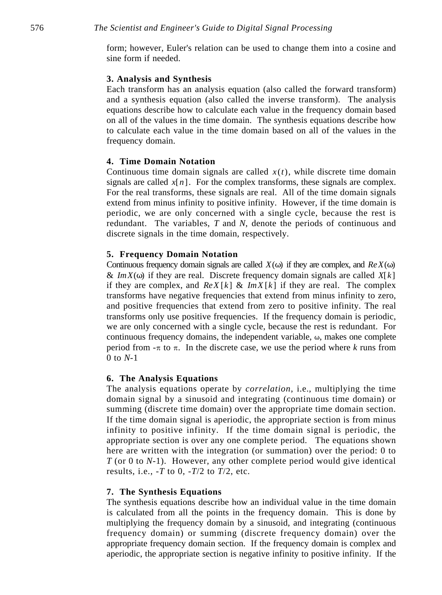form; however, Euler's relation can be used to change them into a cosine and sine form if needed.

#### **3. Analysis and Synthesis**

Each transform has an analysis equation (also called the forward transform) and a synthesis equation (also called the inverse transform). The analysis equations describe how to calculate each value in the frequency domain based on all of the values in the time domain. The synthesis equations describe how to calculate each value in the time domain based on all of the values in the frequency domain.

### **4. Time Domain Notation**

Continuous time domain signals are called  $x(t)$ , while discrete time domain signals are called  $x[n]$ . For the complex transforms, these signals are complex. For the real transforms, these signals are real. All of the time domain signals extend from minus infinity to positive infinity. However, if the time domain is periodic, we are only concerned with a single cycle, because the rest is redundant. The variables, *T* and *N*, denote the periods of continuous and discrete signals in the time domain, respectively.

### **5. Frequency Domain Notation**

Continuous frequency domain signals are called  $X(\omega)$  if they are complex, and  $Re X(\omega)$ &  $Im X(\omega)$  if they are real. Discrete frequency domain signals are called  $X[k]$ if they are complex, and  $Re X[k] \& Im X[k]$  if they are real. The complex transforms have negative frequencies that extend from minus infinity to zero, and positive frequencies that extend from zero to positive infinity. The real transforms only use positive frequencies. If the frequency domain is periodic, we are only concerned with a single cycle, because the rest is redundant. For continuous frequency domains, the independent variable,  $\omega$ , makes one complete period from  $-\pi$  to  $\pi$ . In the discrete case, we use the period where *k* runs from 0 to *N*-1

#### **6. The Analysis Equations**

The analysis equations operate by *correlation*, i.e., multiplying the time domain signal by a sinusoid and integrating (continuous time domain) or summing (discrete time domain) over the appropriate time domain section. If the time domain signal is aperiodic, the appropriate section is from minus infinity to positive infinity. If the time domain signal is periodic, the appropriate section is over any one complete period. The equations shown here are written with the integration (or summation) over the period: 0 to *T* (or 0 to *N*-1). However, any other complete period would give identical results, i.e., -*T* to 0, -*T*/2 to *T*/2, etc.

### **7. The Synthesis Equations**

The synthesis equations describe how an individual value in the time domain is calculated from all the points in the frequency domain. This is done by multiplying the frequency domain by a sinusoid, and integrating (continuous frequency domain) or summing (discrete frequency domain) over the appropriate frequency domain section. If the frequency domain is complex and aperiodic, the appropriate section is negative infinity to positive infinity. If the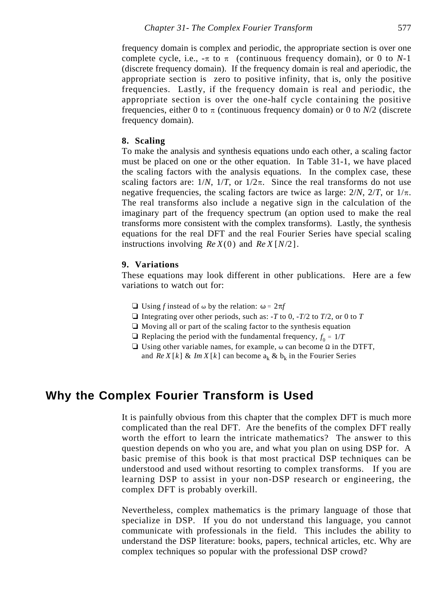frequency domain is complex and periodic, the appropriate section is over one complete cycle, i.e.,  $-\pi$  to  $\pi$  (continuous frequency domain), or 0 to *N*-1 (discrete frequency domain). If the frequency domain is real and aperiodic, the appropriate section is zero to positive infinity, that is, only the positive frequencies. Lastly, if the frequency domain is real and periodic, the appropriate section is over the one-half cycle containing the positive frequencies, either 0 to  $\pi$  (continuous frequency domain) or 0 to *N*/2 (discrete frequency domain).

### **8. Scaling**

To make the analysis and synthesis equations undo each other, a scaling factor must be placed on one or the other equation. In Table 31-1, we have placed the scaling factors with the analysis equations. In the complex case, these scaling factors are:  $1/N$ ,  $1/T$ , or  $1/2\pi$ . Since the real transforms do not use negative frequencies, the scaling factors are twice as large:  $2/N$ ,  $2/T$ , or  $1/\pi$ . The real transforms also include a negative sign in the calculation of the imaginary part of the frequency spectrum (an option used to make the real transforms more consistent with the complex transforms). Lastly, the synthesis equations for the real DFT and the real Fourier Series have special scaling instructions involving  $Re X(0)$  and  $Re X[N/2]$ .

### **9. Variations**

These equations may look different in other publications. Here are a few variations to watch out for:

- $\Box$  Using *f* instead of  $\omega$  by the relation:  $\omega = 2\pi f$
- $\Box$  Integrating over other periods, such as:  $-T$  to 0,  $-T/2$  to  $T/2$ , or 0 to  $T$
- $\Box$  Moving all or part of the scaling factor to the synthesis equation
- $\Box$  Replacing the period with the fundamental frequency,  $f_0 = 1/T$
- $\Box$  Using other variable names, for example,  $\omega$  can become  $\Omega$  in the DTFT, and  $Re X[k]$  & Im  $X[k]$  can become  $a_k \& b_k$  in the Fourier Series

# **Why the Complex Fourier Transform is Used**

It is painfully obvious from this chapter that the complex DFT is much more complicated than the real DFT. Are the benefits of the complex DFT really worth the effort to learn the intricate mathematics? The answer to this question depends on who you are, and what you plan on using DSP for. A basic premise of this book is that most practical DSP techniques can be understood and used without resorting to complex transforms. If you are learning DSP to assist in your non-DSP research or engineering, the complex DFT is probably overkill.

Nevertheless, complex mathematics is the primary language of those that specialize in DSP. If you do not understand this language, you cannot communicate with professionals in the field. This includes the ability to understand the DSP literature: books, papers, technical articles, etc. Why are complex techniques so popular with the professional DSP crowd?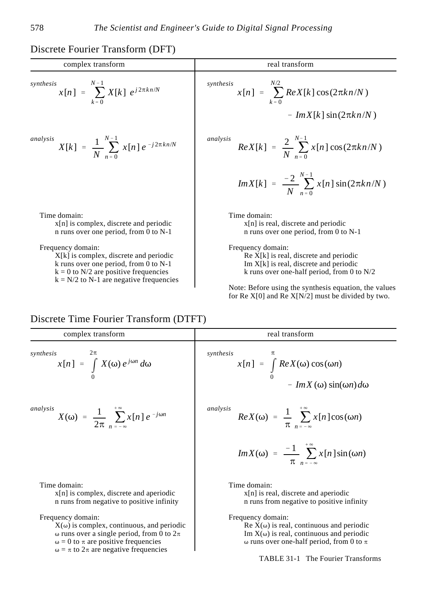# Discrete Fourier Transform (DFT)

| complex transform                                                                    | real transform                                                                   |
|--------------------------------------------------------------------------------------|----------------------------------------------------------------------------------|
| $N-1$<br>synthesis<br>$x[n] = \sum X[k] e^{j2\pi kn/N}$<br>$k = 0$                   | synthesis<br>$x[n] = \sum Re X[k] \cos(2\pi kn/N)$                               |
|                                                                                      | $- Im X[k] \sin(2\pi k n/N)$                                                     |
| analysis<br>$X[k] = \frac{1}{N} \sum_{n=0}^{N-1} x[n] e^{-j2\pi kn/N}$               | analysis<br>$Re X[k] = \frac{2}{N} \sum_{n=0}^{N-1} x[n] \cos(2\pi kn/N)$        |
|                                                                                      | $Im X[k] = \frac{-2}{N} \sum_{n=0}^{N-1} x[n] \sin(2\pi k n/N)$                  |
| Time domain:                                                                         | Time domain:                                                                     |
| $x[n]$ is complex, discrete and periodic<br>n runs over one period, from 0 to $N-1$  | $x[n]$ is real, discrete and periodic<br>n runs over one period, from 0 to $N-1$ |
| Frequency domain:                                                                    | Frequency domain:                                                                |
| $X[k]$ is complex, discrete and periodic                                             | $\operatorname{Re} X[k]$ is real, discrete and periodic                          |
| k runs over one period, from 0 to $N-1$                                              | Im $X[k]$ is real, discrete and periodic                                         |
| $k = 0$ to N/2 are positive frequencies<br>$k = N/2$ to N-1 are negative frequencies | k runs over one-half period, from 0 to $N/2$                                     |
|                                                                                      | Note: Before using the synthesis equation, the values                            |
|                                                                                      | for Re $X[0]$ and Re $X[N/2]$ must be divided by two.                            |

# Discrete Time Fourier Transform (DTFT)

| synthesis<br>$x[n] = \int_{0}^{1} Re X(\omega) \cos(\omega n)$<br>$- Im X(\omega) sin(\omega n) d\omega$                                                                                                                                                                                      |
|-----------------------------------------------------------------------------------------------------------------------------------------------------------------------------------------------------------------------------------------------------------------------------------------------|
| analysis<br>$Re X(\omega) = \frac{1}{\pi} \sum_{n=-\infty}^{\infty} x[n] \cos(\omega n)$<br>$Im X(\omega) = \frac{-1}{\pi} \sum_{n=-\infty}^{+\infty} x[n] \sin(\omega n)$                                                                                                                    |
| Time domain:<br>$x[n]$ is real, discrete and aperiodic<br>n runs from negative to positive infinity<br>Frequency domain:<br>$\text{Re } X(\omega)$ is real, continuous and periodic<br>Im $X(\omega)$ is real, continuous and periodic<br>$\omega$ runs over one-half period, from 0 to $\pi$ |
|                                                                                                                                                                                                                                                                                               |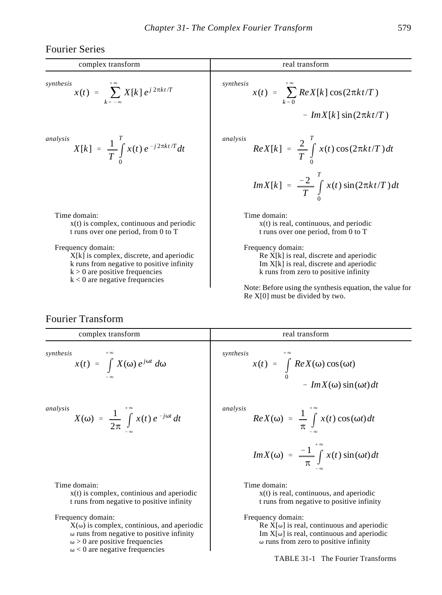Fourier Series

| complex transform                                                                                                                                                                                                                                                                         | real transform                                                                                                                                                                                                                                                                                                                                                          |
|-------------------------------------------------------------------------------------------------------------------------------------------------------------------------------------------------------------------------------------------------------------------------------------------|-------------------------------------------------------------------------------------------------------------------------------------------------------------------------------------------------------------------------------------------------------------------------------------------------------------------------------------------------------------------------|
| synthesis<br>$x(t) = \sum_{k=-\infty} X[k] e^{j 2\pi kt/T}$                                                                                                                                                                                                                               | synthesis<br>$x(t) = \sum$ $Re X[k] \cos(2\pi kt/T)$<br>$- Im X[k] \sin(2\pi kt/T)$                                                                                                                                                                                                                                                                                     |
| analysis<br>$X[k] = \frac{1}{T} \int_{0}^{T} x(t) e^{-j2\pi kt/T} dt$                                                                                                                                                                                                                     | analysis<br>$Re X[k] = \frac{2}{T} \int_{0}^{t} x(t) \cos(2\pi kt/T) dt$<br>$Im X[k] = \frac{-2}{T} \int_{a}^{t} x(t) \sin(2\pi kt/T) dt$                                                                                                                                                                                                                               |
| Time domain:<br>$x(t)$ is complex, continuous and periodic<br>t runs over one period, from 0 to T<br>Frequency domain:<br>$X[k]$ is complex, discrete, and aperiodic<br>k runs from negative to positive infinity<br>$k > 0$ are positive frequencies<br>$k < 0$ are negative frequencies | Time domain:<br>$x(t)$ is real, continuous, and periodic<br>t runs over one period, from 0 to T<br>Frequency domain:<br>$\operatorname{Re} X[k]$ is real, discrete and aperiodic<br>Im $X[k]$ is real, discrete and aperiodic<br>k runs from zero to positive infinity<br>Note: Before using the synthesis equation, the value for<br>$Re X[0]$ must be divided by two. |

# Fourier Transform

| complex transform                                                                                        | real transform                                                                                         |
|----------------------------------------------------------------------------------------------------------|--------------------------------------------------------------------------------------------------------|
| synthesis<br>$x(t) = \int X(\omega) e^{j\omega t} d\omega$                                               | synthesis<br>$x(t) = \int_{0}^{t} Re X(\omega) \cos(\omega t)$<br>$- Im X(\omega) \sin(\omega t) dt$   |
| analysis<br>$X(\omega) = \frac{1}{2\pi} \int x(t) e^{-j\omega t} dt$                                     | analysis<br>$Re X(\omega) = \frac{1}{\pi} \int x(t) \cos(\omega t) dt$                                 |
|                                                                                                          | $Im X(\omega) = \frac{-1}{\pi} \int_{0}^{+\infty} x(t) \sin(\omega t) dt$                              |
| Time domain:<br>$x(t)$ is complex, continious and aperiodic<br>t runs from negative to positive infinity | Time domain:<br>$x(t)$ is real, continuous, and aperiodic<br>t runs from negative to positive infinity |
| Frequency domain:<br>.                                                                                   | Frequency domain:                                                                                      |

 $X(\omega)$  is complex, continious, and aperiodic  $\omega$  runs from negative to positive infinity  $\omega > 0$  are positive frequencies  $\omega$  < 0 are negative frequencies

 $Re X[\omega]$  is real, continuous and aperiodic Im  $X[\omega]$  is real, continuous and aperiodic  $\omega$  runs from zero to positive infinity

TABLE 31-1 The Fourier Transforms